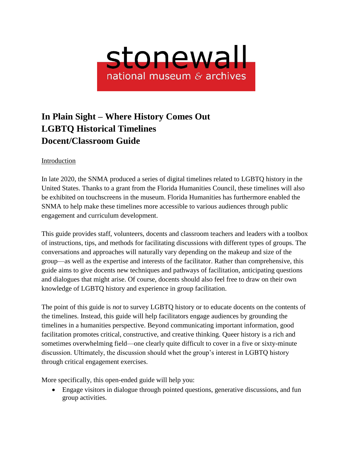

# **In Plain Sight – Where History Comes Out LGBTQ Historical Timelines Docent/Classroom Guide**

#### Introduction

In late 2020, the SNMA produced a series of digital timelines related to LGBTQ history in the United States. Thanks to a grant from the Florida Humanities Council, these timelines will also be exhibited on touchscreens in the museum. Florida Humanities has furthermore enabled the SNMA to help make these timelines more accessible to various audiences through public engagement and curriculum development.

This guide provides staff, volunteers, docents and classroom teachers and leaders with a toolbox of instructions, tips, and methods for facilitating discussions with different types of groups. The conversations and approaches will naturally vary depending on the makeup and size of the group—as well as the expertise and interests of the facilitator. Rather than comprehensive, this guide aims to give docents new techniques and pathways of facilitation, anticipating questions and dialogues that might arise. Of course, docents should also feel free to draw on their own knowledge of LGBTQ history and experience in group facilitation.

The point of this guide is *not* to survey LGBTQ history or to educate docents on the contents of the timelines. Instead, this guide will help facilitators engage audiences by grounding the timelines in a humanities perspective. Beyond communicating important information, good facilitation promotes critical, constructive, and creative thinking. Queer history is a rich and sometimes overwhelming field—one clearly quite difficult to cover in a five or sixty-minute discussion. Ultimately, the discussion should whet the group's interest in LGBTQ history through critical engagement exercises.

More specifically, this open-ended guide will help you:

 Engage visitors in dialogue through pointed questions, generative discussions, and fun group activities.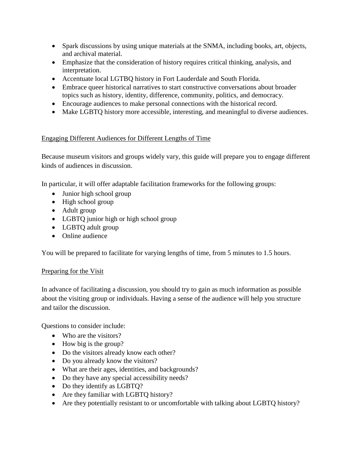- Spark discussions by using unique materials at the SNMA, including books, art, objects, and archival material.
- Emphasize that the consideration of history requires critical thinking, analysis, and interpretation.
- Accentuate local LGTBQ history in Fort Lauderdale and South Florida.
- Embrace queer historical narratives to start constructive conversations about broader topics such as history, identity, difference, community, politics, and democracy.
- Encourage audiences to make personal connections with the historical record.
- Make LGBTQ history more accessible, interesting, and meaningful to diverse audiences.

# Engaging Different Audiences for Different Lengths of Time

Because museum visitors and groups widely vary, this guide will prepare you to engage different kinds of audiences in discussion.

In particular, it will offer adaptable facilitation frameworks for the following groups:

- Junior high school group
- High school group
- Adult group
- LGBTQ junior high or high school group
- LGBTQ adult group
- Online audience

You will be prepared to facilitate for varying lengths of time, from 5 minutes to 1.5 hours.

# Preparing for the Visit

In advance of facilitating a discussion, you should try to gain as much information as possible about the visiting group or individuals. Having a sense of the audience will help you structure and tailor the discussion.

Questions to consider include:

- Who are the visitors?
- How big is the group?
- Do the visitors already know each other?
- Do you already know the visitors?
- What are their ages, identities, and backgrounds?
- Do they have any special accessibility needs?
- Do they identify as LGBTQ?
- Are they familiar with LGBTQ history?
- Are they potentially resistant to or uncomfortable with talking about LGBTQ history?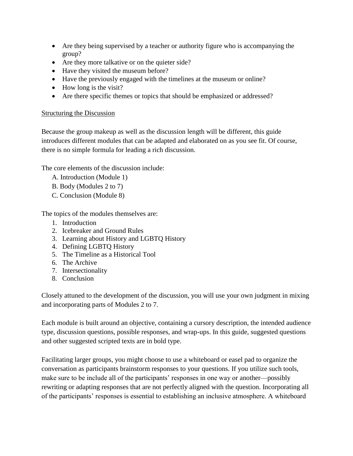- Are they being supervised by a teacher or authority figure who is accompanying the group?
- Are they more talkative or on the quieter side?
- Have they visited the museum before?
- Have the previously engaged with the timelines at the museum or online?
- How long is the visit?
- Are there specific themes or topics that should be emphasized or addressed?

#### Structuring the Discussion

Because the group makeup as well as the discussion length will be different, this guide introduces different modules that can be adapted and elaborated on as you see fit. Of course, there is no simple formula for leading a rich discussion.

The core elements of the discussion include:

- A. Introduction (Module 1)
- B. Body (Modules 2 to 7)
- C. Conclusion (Module 8)

The topics of the modules themselves are:

- 1. Introduction
- 2. Icebreaker and Ground Rules
- 3. Learning about History and LGBTQ History
- 4. Defining LGBTQ History
- 5. The Timeline as a Historical Tool
- 6. The Archive
- 7. Intersectionality
- 8. Conclusion

Closely attuned to the development of the discussion, you will use your own judgment in mixing and incorporating parts of Modules 2 to 7.

Each module is built around an objective, containing a cursory description, the intended audience type, discussion questions, possible responses, and wrap-ups. In this guide, suggested questions and other suggested scripted texts are in bold type.

Facilitating larger groups, you might choose to use a whiteboard or easel pad to organize the conversation as participants brainstorm responses to your questions. If you utilize such tools, make sure to be include all of the participants' responses in one way or another—possibly rewriting or adapting responses that are not perfectly aligned with the question. Incorporating all of the participants' responses is essential to establishing an inclusive atmosphere. A whiteboard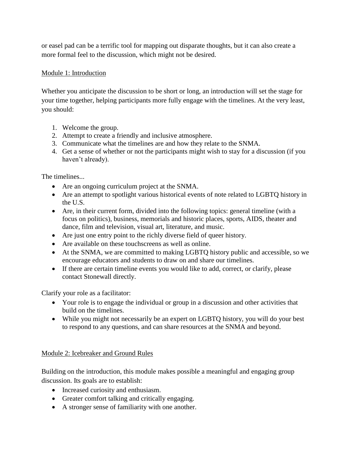or easel pad can be a terrific tool for mapping out disparate thoughts, but it can also create a more formal feel to the discussion, which might not be desired.

## Module 1: Introduction

Whether you anticipate the discussion to be short or long, an introduction will set the stage for your time together, helping participants more fully engage with the timelines. At the very least, you should:

- 1. Welcome the group.
- 2. Attempt to create a friendly and inclusive atmosphere.
- 3. Communicate what the timelines are and how they relate to the SNMA.
- 4. Get a sense of whether or not the participants might wish to stay for a discussion (if you haven't already).

The timelines...

- Are an ongoing curriculum project at the SNMA.
- Are an attempt to spotlight various historical events of note related to LGBTQ history in the U.S.
- Are, in their current form, divided into the following topics: general timeline (with a focus on politics), business, memorials and historic places, sports, AIDS, theater and dance, film and television, visual art, literature, and music.
- Are just one entry point to the richly diverse field of queer history.
- Are available on these touchscreens as well as online.
- At the SNMA, we are committed to making LGBTQ history public and accessible, so we encourage educators and students to draw on and share our timelines.
- If there are certain timeline events you would like to add, correct, or clarify, please contact Stonewall directly.

Clarify your role as a facilitator:

- Your role is to engage the individual or group in a discussion and other activities that build on the timelines.
- While you might not necessarily be an expert on LGBTQ history, you will do your best to respond to any questions, and can share resources at the SNMA and beyond.

## Module 2: Icebreaker and Ground Rules

Building on the introduction, this module makes possible a meaningful and engaging group discussion. Its goals are to establish:

- Increased curiosity and enthusiasm.
- Greater comfort talking and critically engaging.
- A stronger sense of familiarity with one another.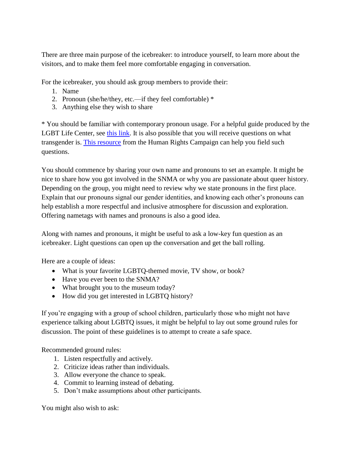There are three main purpose of the icebreaker: to introduce yourself, to learn more about the visitors, and to make them feel more comfortable engaging in conversation.

For the icebreaker, you should ask group members to provide their:

- 1. Name
- 2. Pronoun (she/he/they, etc.—if they feel comfortable) \*
- 3. Anything else they wish to share

\* You should be familiar with contemporary pronoun usage. For a helpful guide produced by the LGBT Life Center, see [this link.](https://lgbtlifecenter.org/pronouns/) It is also possible that you will receive questions on what transgender is. [This resource](https://www.hrc.org/resources/schools-in-transition-a-guide-for-supporting-transgender-students-in-k-12-s) from the Human Rights Campaign can help you field such questions.

You should commence by sharing your own name and pronouns to set an example. It might be nice to share how you got involved in the SNMA or why you are passionate about queer history. Depending on the group, you might need to review why we state pronouns in the first place. Explain that our pronouns signal our gender identities, and knowing each other's pronouns can help establish a more respectful and inclusive atmosphere for discussion and exploration. Offering nametags with names and pronouns is also a good idea.

Along with names and pronouns, it might be useful to ask a low-key fun question as an icebreaker. Light questions can open up the conversation and get the ball rolling.

Here are a couple of ideas:

- What is your favorite LGBTQ-themed movie, TV show, or book?
- Have you ever been to the SNMA?
- What brought you to the museum today?
- How did you get interested in LGBTQ history?

If you're engaging with a group of school children, particularly those who might not have experience talking about LGBTQ issues, it might be helpful to lay out some ground rules for discussion. The point of these guidelines is to attempt to create a safe space.

Recommended ground rules:

- 1. Listen respectfully and actively.
- 2. Criticize ideas rather than individuals.
- 3. Allow everyone the chance to speak.
- 4. Commit to learning instead of debating.
- 5. Don't make assumptions about other participants.

You might also wish to ask: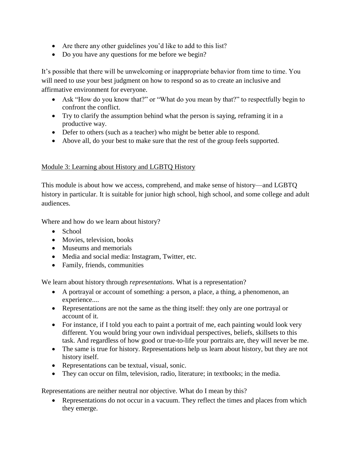- Are there any other guidelines you'd like to add to this list?
- Do you have any questions for me before we begin?

It's possible that there will be unwelcoming or inappropriate behavior from time to time. You will need to use your best judgment on how to respond so as to create an inclusive and affirmative environment for everyone.

- Ask "How do you know that?" or "What do you mean by that?" to respectfully begin to confront the conflict.
- Try to clarify the assumption behind what the person is saying, reframing it in a productive way.
- Defer to others (such as a teacher) who might be better able to respond.
- Above all, do your best to make sure that the rest of the group feels supported.

## Module 3: Learning about History and LGBTQ History

This module is about how we access, comprehend, and make sense of history—and LGBTQ history in particular. It is suitable for junior high school, high school, and some college and adult audiences.

Where and how do we learn about history?

- School
- Movies, television, books
- Museums and memorials
- Media and social media: Instagram, Twitter, etc.
- Family, friends, communities

We learn about history through *representations*. What is a representation?

- A portrayal or account of something: a person, a place, a thing, a phenomenon, an experience....
- Representations are not the same as the thing itself: they only are one portrayal or account of it.
- For instance, if I told you each to paint a portrait of me, each painting would look very different. You would bring your own individual perspectives, beliefs, skillsets to this task. And regardless of how good or true-to-life your portraits are, they will never be me.
- The same is true for history. Representations help us learn about history, but they are not history itself.
- Representations can be textual, visual, sonic.
- They can occur on film, television, radio, literature; in textbooks; in the media.

Representations are neither neutral nor objective. What do I mean by this?

• Representations do not occur in a vacuum. They reflect the times and places from which they emerge.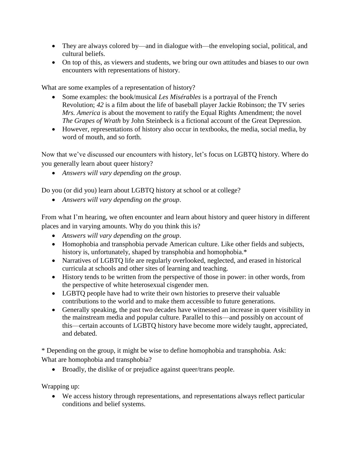- They are always colored by—and in dialogue with—the enveloping social, political, and cultural beliefs.
- On top of this, as viewers and students, we bring our own attitudes and biases to our own encounters with representations of history.

What are some examples of a representation of history?

- Some examples: the book/musical *Les Misérables* is a portrayal of the French Revolution; *42* is a film about the life of baseball player Jackie Robinson; the TV series *Mrs. America* is about the movement to ratify the Equal Rights Amendment; the novel *The Grapes of Wrath* by John Steinbeck is a fictional account of the Great Depression.
- However, representations of history also occur in textbooks, the media, social media, by word of mouth, and so forth.

Now that we've discussed our encounters with history, let's focus on LGBTQ history. Where do you generally learn about queer history?

*Answers will vary depending on the group*.

Do you (or did you) learn about LGBTQ history at school or at college?

*Answers will vary depending on the group*.

From what I'm hearing, we often encounter and learn about history and queer history in different places and in varying amounts. Why do you think this is?

- *Answers will vary depending on the group*.
- Homophobia and transphobia pervade American culture. Like other fields and subjects, history is, unfortunately, shaped by transphobia and homophobia.\*
- Narratives of LGBTQ life are regularly overlooked, neglected, and erased in historical curricula at schools and other sites of learning and teaching.
- History tends to be written from the perspective of those in power: in other words, from the perspective of white heterosexual cisgender men.
- LGBTQ people have had to write their own histories to preserve their valuable contributions to the world and to make them accessible to future generations.
- Generally speaking, the past two decades have witnessed an increase in queer visibility in the mainstream media and popular culture. Parallel to this—and possibly on account of this—certain accounts of LGBTQ history have become more widely taught, appreciated, and debated.

\* Depending on the group, it might be wise to define homophobia and transphobia. Ask: What are homophobia and transphobia?

• Broadly, the dislike of or prejudice against queer/trans people.

Wrapping up:

 We access history through representations, and representations always reflect particular conditions and belief systems.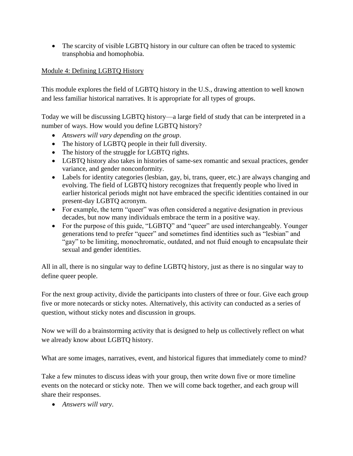• The scarcity of visible LGBTQ history in our culture can often be traced to systemic transphobia and homophobia.

## Module 4: Defining LGBTQ History

This module explores the field of LGBTQ history in the U.S., drawing attention to well known and less familiar historical narratives. It is appropriate for all types of groups.

Today we will be discussing LGBTQ history—a large field of study that can be interpreted in a number of ways. How would you define LGBTQ history?

- *Answers will vary depending on the group*.
- The history of LGBTQ people in their full diversity.
- The history of the struggle for LGBTQ rights.
- LGBTQ history also takes in histories of same-sex romantic and sexual practices, gender variance, and gender nonconformity.
- Labels for identity categories (lesbian, gay, bi, trans, queer, etc.) are always changing and evolving. The field of LGBTQ history recognizes that frequently people who lived in earlier historical periods might not have embraced the specific identities contained in our present-day LGBTQ acronym.
- For example, the term "queer" was often considered a negative designation in previous decades, but now many individuals embrace the term in a positive way.
- For the purpose of this guide, "LGBTQ" and "queer" are used interchangeably. Younger generations tend to prefer "queer" and sometimes find identities such as "lesbian" and "gay" to be limiting, monochromatic, outdated, and not fluid enough to encapsulate their sexual and gender identities.

All in all, there is no singular way to define LGBTQ history, just as there is no singular way to define queer people.

For the next group activity, divide the participants into clusters of three or four. Give each group five or more notecards or sticky notes. Alternatively, this activity can conducted as a series of question, without sticky notes and discussion in groups.

Now we will do a brainstorming activity that is designed to help us collectively reflect on what we already know about LGBTQ history.

What are some images, narratives, event, and historical figures that immediately come to mind?

Take a few minutes to discuss ideas with your group, then write down five or more timeline events on the notecard or sticky note. Then we will come back together, and each group will share their responses.

*Answers will vary*.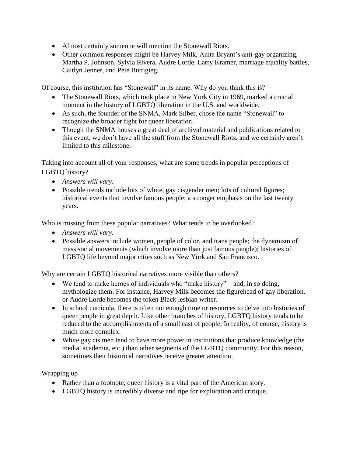- Almost certainly someone will mention the Stonewall Riots.
- Other common responses might be Harvey Milk, Anita Bryant's anti-gay organizing, Martha P. Johnson, Sylvia Rivera, Audre Lorde, Larry Kramer, marriage equality battles, Caitlyn Jenner, and Pete Buttigieg.

Of course, this institution has "Stonewall" in its name. Why do you think this is?

- The Stonewall Riots, which took place in New York City in 1969, marked a crucial moment in the history of LGBTQ liberation in the U.S. and worldwide.
- As such, the founder of the SNMA, Mark Silber, chose the name "Stonewall" to recognize the broader fight for queer liberation.
- Though the SNMA houses a great deal of archival material and publications related to this event, we don't have all the stuff from the Stonewall Riots, and we certainly aren't limited to this milestone.

Taking into account all of your responses, what are some trends in popular perceptions of LGBTQ history?

- *Answers will vary*.
- Possible trends include lots of white, gay cisgender men; lots of cultural figures; historical events that involve famous people; a stronger emphasis on the last twenty years.

Who is missing from these popular narratives? What tends to be overlooked?

- *Answers will vary*.
- Possible answers include women, people of color, and trans people; the dynamism of mass social movements (which involve more than just famous people); histories of LGBTQ life beyond major cities such as New York and San Francisco.

Why are certain LGBTQ historical narratives more visible than others?

- We tend to make heroes of individuals who "make history"—and, in so doing, mythologize them. For instance, Harvey Milk becomes the figurehead of gay liberation, or Audre Lorde becomes the token Black lesbian writer.
- In school curricula, there is often not enough time or resources to delve into histories of queer people in great depth. Like other branches of history, LGBTQ history tends to be reduced to the accomplishments of a small cast of people. In reality, of course, history is much more complex.
- White gay cis men tend to have more power in institutions that produce knowledge (the media, academia, etc.) than other segments of the LGBTQ community. For this reason, sometimes their historical narratives receive greater attention.

Wrapping up

- Rather than a footnote, queer history is a vital part of the American story.
- LGBTQ history is incredibly diverse and ripe for exploration and critique.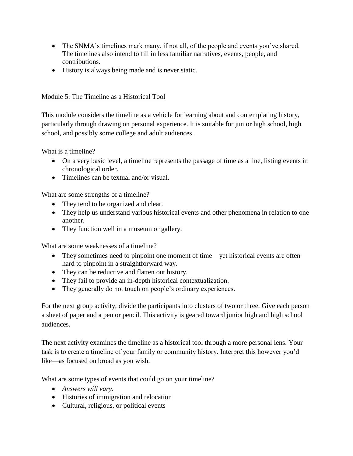- The SNMA's timelines mark many, if not all, of the people and events you've shared. The timelines also intend to fill in less familiar narratives, events, people, and contributions.
- History is always being made and is never static.

## Module 5: The Timeline as a Historical Tool

This module considers the timeline as a vehicle for learning about and contemplating history, particularly through drawing on personal experience. It is suitable for junior high school, high school, and possibly some college and adult audiences.

What is a timeline?

- On a very basic level, a timeline represents the passage of time as a line, listing events in chronological order.
- Timelines can be textual and/or visual.

What are some strengths of a timeline?

- They tend to be organized and clear.
- They help us understand various historical events and other phenomena in relation to one another.
- They function well in a museum or gallery.

What are some weaknesses of a timeline?

- They sometimes need to pinpoint one moment of time—yet historical events are often hard to pinpoint in a straightforward way.
- They can be reductive and flatten out history.
- They fail to provide an in-depth historical contextualization.
- They generally do not touch on people's ordinary experiences.

For the next group activity, divide the participants into clusters of two or three. Give each person a sheet of paper and a pen or pencil. This activity is geared toward junior high and high school audiences.

The next activity examines the timeline as a historical tool through a more personal lens. Your task is to create a timeline of your family or community history. Interpret this however you'd like—as focused on broad as you wish.

What are some types of events that could go on your timeline?

- *Answers will vary*.
- Histories of immigration and relocation
- Cultural, religious, or political events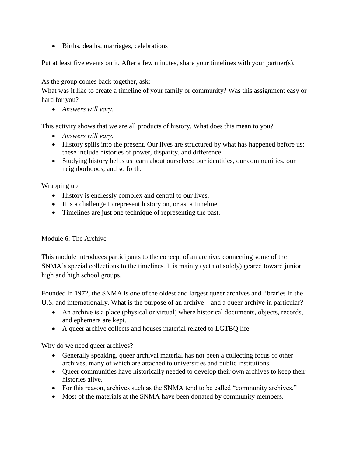• Births, deaths, marriages, celebrations

Put at least five events on it. After a few minutes, share your timelines with your partner(s).

As the group comes back together, ask:

What was it like to create a timeline of your family or community? Was this assignment easy or hard for you?

*Answers will vary*.

This activity shows that we are all products of history. What does this mean to you?

- *Answers will vary*.
- History spills into the present. Our lives are structured by what has happened before us; these include histories of power, disparity, and difference.
- Studying history helps us learn about ourselves: our identities, our communities, our neighborhoods, and so forth.

Wrapping up

- History is endlessly complex and central to our lives.
- It is a challenge to represent history on, or as, a timeline.
- Timelines are just one technique of representing the past.

## Module 6: The Archive

This module introduces participants to the concept of an archive, connecting some of the SNMA's special collections to the timelines. It is mainly (yet not solely) geared toward junior high and high school groups.

Founded in 1972, the SNMA is one of the oldest and largest queer archives and libraries in the U.S. and internationally. What is the purpose of an archive—and a queer archive in particular?

- An archive is a place (physical or virtual) where historical documents, objects, records, and ephemera are kept.
- A queer archive collects and houses material related to LGTBQ life.

Why do we need queer archives?

- Generally speaking, queer archival material has not been a collecting focus of other archives, many of which are attached to universities and public institutions.
- Queer communities have historically needed to develop their own archives to keep their histories alive.
- For this reason, archives such as the SNMA tend to be called "community archives."
- Most of the materials at the SNMA have been donated by community members.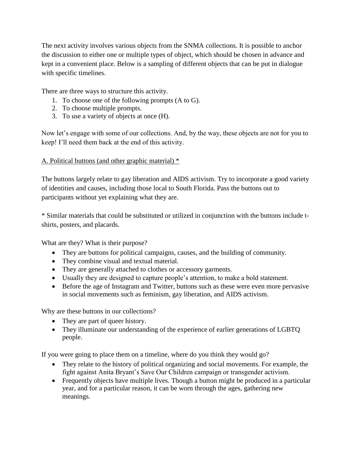The next activity involves various objects from the SNMA collections. It is possible to anchor the discussion to either one or multiple types of object, which should be chosen in advance and kept in a convenient place. Below is a sampling of different objects that can be put in dialogue with specific timelines.

There are three ways to structure this activity.

- 1. To choose one of the following prompts (A to G).
- 2. To choose multiple prompts.
- 3. To use a variety of objects at once (H).

Now let's engage with some of our collections. And, by the way, these objects are not for you to keep! I'll need them back at the end of this activity.

## A. Political buttons (and other graphic material) \*

The buttons largely relate to gay liberation and AIDS activism. Try to incorporate a good variety of identities and causes, including those local to South Florida. Pass the buttons out to participants without yet explaining what they are.

\* Similar materials that could be substituted or utilized in conjunction with the buttons include tshirts, posters, and placards.

What are they? What is their purpose?

- They are buttons for political campaigns, causes, and the building of community.
- They combine visual and textual material.
- They are generally attached to clothes or accessory garments.
- Usually they are designed to capture people's attention, to make a bold statement.
- Before the age of Instagram and Twitter, buttons such as these were even more pervasive in social movements such as feminism, gay liberation, and AIDS activism.

Why are these buttons in our collections?

- They are part of queer history.
- They illuminate our understanding of the experience of earlier generations of LGBTQ people.

If you were going to place them on a timeline, where do you think they would go?

- They relate to the history of political organizing and social movements. For example, the fight against Anita Bryant's Save Our Children campaign or transgender activism.
- Frequently objects have multiple lives. Though a button might be produced in a particular year, and for a particular reason, it can be worn through the ages, gathering new meanings.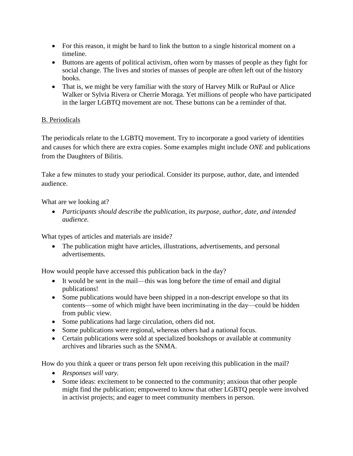- For this reason, it might be hard to link the button to a single historical moment on a timeline.
- Buttons are agents of political activism, often worn by masses of people as they fight for social change. The lives and stories of masses of people are often left out of the history books.
- That is, we might be very familiar with the story of Harvey Milk or RuPaul or Alice Walker or Sylvia Rivera or Cherríe Moraga. Yet millions of people who have participated in the larger LGBTQ movement are not. These buttons can be a reminder of that.

# B. Periodicals

The periodicals relate to the LGBTQ movement. Try to incorporate a good variety of identities and causes for which there are extra copies. Some examples might include *ONE* and publications from the Daughters of Bilitis.

Take a few minutes to study your periodical. Consider its purpose, author, date, and intended audience.

What are we looking at?

 *Participants should describe the publication, its purpose, author, date, and intended audience.*

What types of articles and materials are inside?

 The publication might have articles, illustrations, advertisements, and personal advertisements.

How would people have accessed this publication back in the day?

- It would be sent in the mail—this was long before the time of email and digital publications!
- Some publications would have been shipped in a non-descript envelope so that its contents—some of which might have been incriminating in the day—could be hidden from public view.
- Some publications had large circulation, others did not.
- Some publications were regional, whereas others had a national focus.
- Certain publications were sold at specialized bookshops or available at community archives and libraries such as the SNMA.

How do you think a queer or trans person felt upon receiving this publication in the mail?

- *Responses will vary.*
- Some ideas: excitement to be connected to the community; anxious that other people might find the publication; empowered to know that other LGBTQ people were involved in activist projects; and eager to meet community members in person.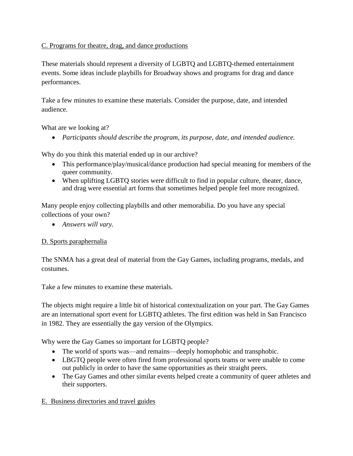## C. Programs for theatre, drag, and dance productions

These materials should represent a diversity of LGBTQ and LGBTQ-themed entertainment events. Some ideas include playbills for Broadway shows and programs for drag and dance performances.

Take a few minutes to examine these materials. Consider the purpose, date, and intended audience.

What are we looking at?

*Participants should describe the program, its purpose, date, and intended audience.*

Why do you think this material ended up in our archive?

- This performance/play/musical/dance production had special meaning for members of the queer community.
- When uplifting LGBTQ stories were difficult to find in popular culture, theater, dance, and drag were essential art forms that sometimes helped people feel more recognized.

Many people enjoy collecting playbills and other memorabilia. Do you have any special collections of your own?

*Answers will vary.*

## D. Sports paraphernalia

The SNMA has a great deal of material from the Gay Games, including programs, medals, and costumes.

Take a few minutes to examine these materials.

The objects might require a little bit of historical contextualization on your part. The Gay Games are an international sport event for LGBTQ athletes. The first edition was held in San Francisco in 1982. They are essentially the gay version of the Olympics.

Why were the Gay Games so important for LGBTQ people?

- The world of sports was—and remains—deeply homophobic and transphobic.
- LBGTQ people were often fired from professional sports teams or were unable to come out publicly in order to have the same opportunities as their straight peers.
- The Gay Games and other similar events helped create a community of queer athletes and their supporters.

## E. Business directories and travel guides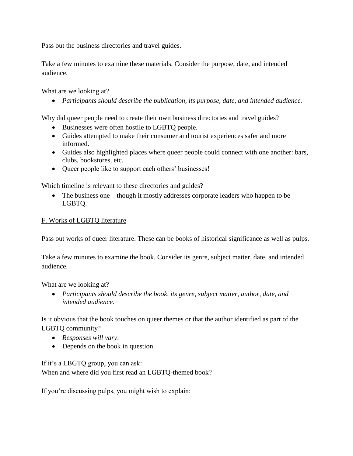Pass out the business directories and travel guides.

Take a few minutes to examine these materials. Consider the purpose, date, and intended audience.

What are we looking at?

*Participants should describe the publication, its purpose, date, and intended audience.*

Why did queer people need to create their own business directories and travel guides?

- Businesses were often hostile to LGBTQ people.
- Guides attempted to make their consumer and tourist experiences safer and more informed.
- Guides also highlighted places where queer people could connect with one another: bars, clubs, bookstores, etc.
- Oueer people like to support each others' businesses!

Which timeline is relevant to these directories and guides?

 The business one—though it mostly addresses corporate leaders who happen to be LGBTQ.

#### F. Works of LGBTQ literature

Pass out works of queer literature. These can be books of historical significance as well as pulps.

Take a few minutes to examine the book. Consider its genre, subject matter, date, and intended audience.

What are we looking at?

 *Participants should describe the book, its genre, subject matter, author, date, and intended audience.*

Is it obvious that the book touches on queer themes or that the author identified as part of the LGBTQ community?

- *Responses will vary*.
- Depends on the book in question.

If it's a LBGTQ group, you can ask: When and where did you first read an LGBTQ-themed book?

If you're discussing pulps, you might wish to explain: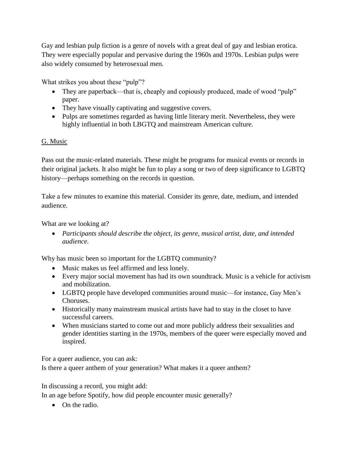Gay and lesbian pulp fiction is a genre of novels with a great deal of gay and lesbian erotica. They were especially popular and pervasive during the 1960s and 1970s. Lesbian pulps were also widely consumed by heterosexual men.

What strikes you about these "pulp"?

- They are paperback—that is, cheaply and copiously produced, made of wood "pulp" paper.
- They have visually captivating and suggestive covers.
- Pulps are sometimes regarded as having little literary merit. Nevertheless, they were highly influential in both LBGTQ and mainstream American culture.

# G. Music

Pass out the music-related materials. These might be programs for musical events or records in their original jackets. It also might be fun to play a song or two of deep significance to LGBTQ history—perhaps something on the records in question.

Take a few minutes to examine this material. Consider its genre, date, medium, and intended audience.

What are we looking at?

 *Participants should describe the object, its genre, musical artist, date, and intended audience.*

Why has music been so important for the LGBTQ community?

- Music makes us feel affirmed and less lonely.
- Every major social movement has had its own soundtrack. Music is a vehicle for activism and mobilization.
- LGBTQ people have developed communities around music—for instance, Gay Men's Choruses.
- Historically many mainstream musical artists have had to stay in the closet to have successful careers.
- When musicians started to come out and more publicly address their sexualities and gender identities starting in the 1970s, members of the queer were especially moved and inspired.

For a queer audience, you can ask:

Is there a queer anthem of your generation? What makes it a queer anthem?

In discussing a record, you might add:

In an age before Spotify, how did people encounter music generally?

• On the radio.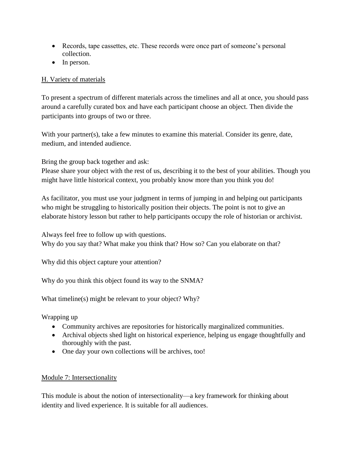- Records, tape cassettes, etc. These records were once part of someone's personal collection.
- In person.

# H. Variety of materials

To present a spectrum of different materials across the timelines and all at once, you should pass around a carefully curated box and have each participant choose an object. Then divide the participants into groups of two or three.

With your partner(s), take a few minutes to examine this material. Consider its genre, date, medium, and intended audience.

Bring the group back together and ask:

Please share your object with the rest of us, describing it to the best of your abilities. Though you might have little historical context, you probably know more than you think you do!

As facilitator, you must use your judgment in terms of jumping in and helping out participants who might be struggling to historically position their objects. The point is not to give an elaborate history lesson but rather to help participants occupy the role of historian or archivist.

Always feel free to follow up with questions. Why do you say that? What make you think that? How so? Can you elaborate on that?

Why did this object capture your attention?

Why do you think this object found its way to the SNMA?

What timeline(s) might be relevant to your object? Why?

Wrapping up

- Community archives are repositories for historically marginalized communities.
- Archival objects shed light on historical experience, helping us engage thoughtfully and thoroughly with the past.
- One day your own collections will be archives, too!

# Module 7: Intersectionality

This module is about the notion of intersectionality—a key framework for thinking about identity and lived experience. It is suitable for all audiences.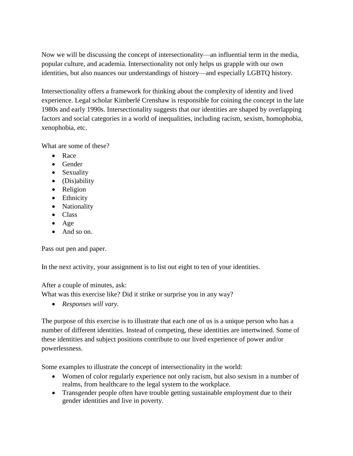Now we will be discussing the concept of intersectionality—an influential term in the media, popular culture, and academia. Intersectionality not only helps us grapple with our own identities, but also nuances our understandings of history—and especially LGBTQ history.

Intersectionality offers a framework for thinking about the complexity of identity and lived experience. Legal scholar Kimberlé Crenshaw is responsible for coining the concept in the late 1980s and early 1990s. Intersectionality suggests that our identities are shaped by overlapping factors and social categories in a world of inequalities, including racism, sexism, homophobia, xenophobia, etc.

What are some of these?

- Race
- Gender
- Sexuality
- $\bullet$  (Dis)ability
- Religion
- Ethnicity
- Nationality
- Class
- $\bullet$  Age
- And so on.

Pass out pen and paper.

In the next activity, your assignment is to list out eight to ten of your identities.

After a couple of minutes, ask:

What was this exercise like? Did it strike or surprise you in any way?

*Responses will vary.*

The purpose of this exercise is to illustrate that each one of us is a unique person who has a number of different identities. Instead of competing, these identities are intertwined. Some of these identities and subject positions contribute to our lived experience of power and/or powerlessness.

Some examples to illustrate the concept of intersectionality in the world:

- Women of color regularly experience not only racism, but also sexism in a number of realms, from healthcare to the legal system to the workplace.
- Transgender people often have trouble getting sustainable employment due to their gender identities and live in poverty.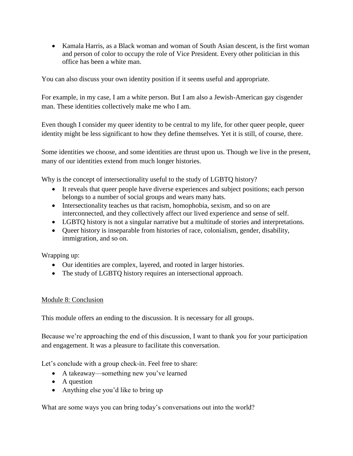• Kamala Harris, as a Black woman and woman of South Asian descent, is the first woman and person of color to occupy the role of Vice President. Every other politician in this office has been a white man.

You can also discuss your own identity position if it seems useful and appropriate.

For example, in my case, I am a white person. But I am also a Jewish-American gay cisgender man. These identities collectively make me who I am.

Even though I consider my queer identity to be central to my life, for other queer people, queer identity might be less significant to how they define themselves. Yet it is still, of course, there.

Some identities we choose, and some identities are thrust upon us. Though we live in the present, many of our identities extend from much longer histories.

Why is the concept of intersectionality useful to the study of LGBTQ history?

- It reveals that queer people have diverse experiences and subject positions; each person belongs to a number of social groups and wears many hats.
- Intersectionality teaches us that racism, homophobia, sexism, and so on are interconnected, and they collectively affect our lived experience and sense of self.
- LGBTQ history is not a singular narrative but a multitude of stories and interpretations.
- Queer history is inseparable from histories of race, colonialism, gender, disability, immigration, and so on.

Wrapping up:

- Our identities are complex, layered, and rooted in larger histories.
- The study of LGBTO history requires an intersectional approach.

## Module 8: Conclusion

This module offers an ending to the discussion. It is necessary for all groups.

Because we're approaching the end of this discussion, I want to thank you for your participation and engagement. It was a pleasure to facilitate this conversation.

Let's conclude with a group check-in. Feel free to share:

- A takeaway—something new you've learned
- A question
- Anything else you'd like to bring up

What are some ways you can bring today's conversations out into the world?